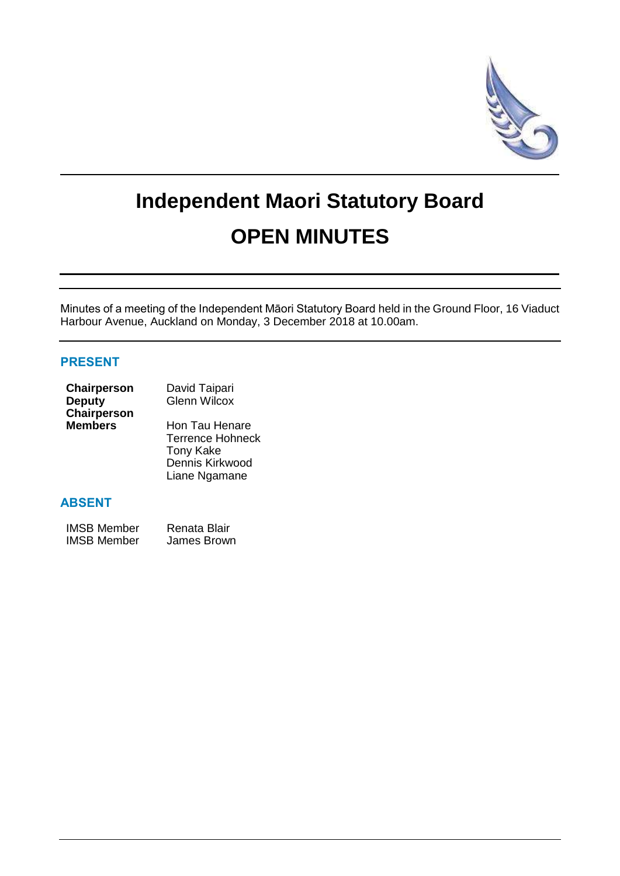

# **Independent Maori Statutory Board OPEN MINUTES**

Minutes of a meeting of the Independent Māori Statutory Board held in the Ground Floor, 16 Viaduct Harbour Avenue, Auckland on Monday, 3 December 2018 at 10.00am.

#### **PRESENT**

| Chairperson    | David Taipari           |  |
|----------------|-------------------------|--|
| <b>Deputy</b>  | <b>Glenn Wilcox</b>     |  |
| Chairperson    |                         |  |
| <b>Members</b> | Hon Tau Henare          |  |
|                | <b>Terrence Hohneck</b> |  |
|                | <b>Tony Kake</b>        |  |
|                | Dennis Kirkwood         |  |

Liane Ngamane

#### **ABSENT**

| <b>IMSB Member</b> | Renata Blair |
|--------------------|--------------|
| <b>IMSB Member</b> | James Brown  |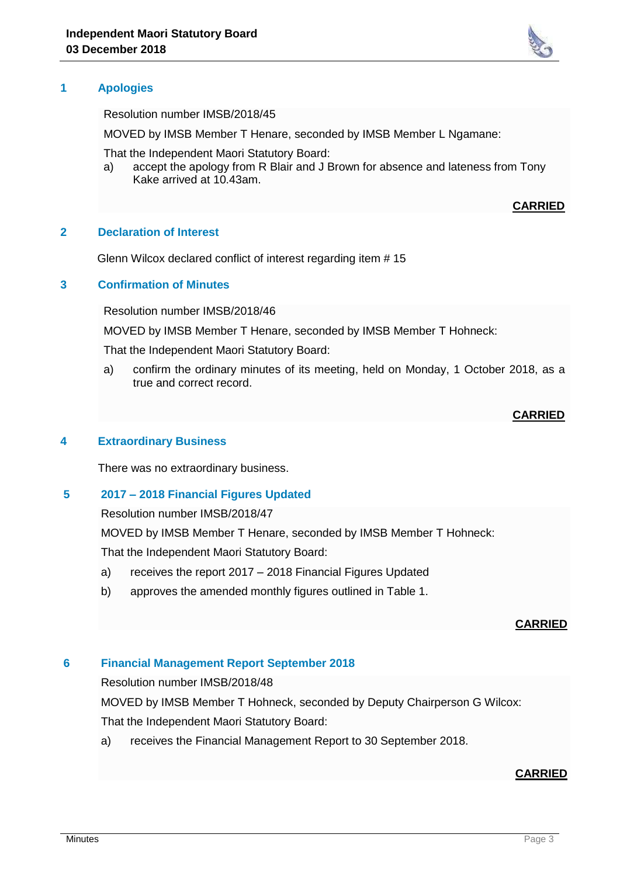#### **1 Apologies**

Resolution number IMSB/2018/45

MOVED by IMSB Member T Henare, seconded by IMSB Member L Ngamane:

That the Independent Maori Statutory Board:

a) accept the apology from R Blair and J Brown for absence and lateness from Tony Kake arrived at 10.43am.

#### **CARRIED**

#### **2 Declaration of Interest**

Glenn Wilcox declared conflict of interest regarding item # 15

#### **3 Confirmation of Minutes**

Resolution number IMSB/2018/46

MOVED by IMSB Member T Henare, seconded by IMSB Member T Hohneck:

That the Independent Maori Statutory Board:

a) confirm the ordinary minutes of its meeting, held on Monday, 1 October 2018, as a true and correct record.

#### **CARRIED**

#### **4 Extraordinary Business**

There was no extraordinary business.

#### **5 2017 – 2018 Financial Figures Updated**

Resolution number IMSB/2018/47

MOVED by IMSB Member T Henare, seconded by IMSB Member T Hohneck:

That the Independent Maori Statutory Board:

- a) receives the report 2017 2018 Financial Figures Updated
- b) approves the amended monthly figures outlined in Table 1.

#### **CARRIED**

#### **6 Financial Management Report September 2018**

Resolution number IMSB/2018/48

MOVED by IMSB Member T Hohneck, seconded by Deputy Chairperson G Wilcox:

That the Independent Maori Statutory Board:

a) receives the Financial Management Report to 30 September 2018.

#### **CARRIED**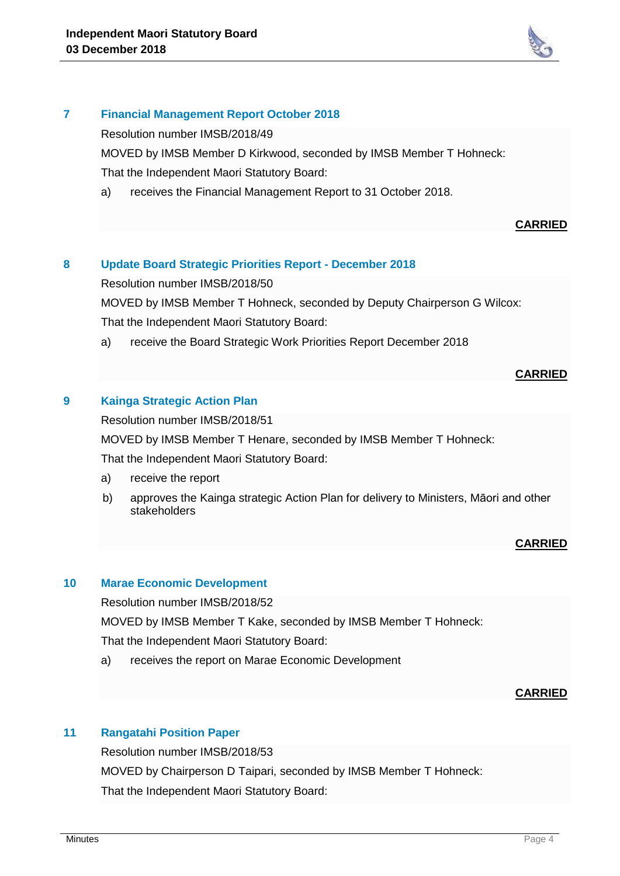

#### **7 Financial Management Report October 2018**

Resolution number IMSB/2018/49

MOVED by IMSB Member D Kirkwood, seconded by IMSB Member T Hohneck:

That the Independent Maori Statutory Board:

a) receives the Financial Management Report to 31 October 2018.

#### **CARRIED**

# **8 Update Board Strategic Priorities Report - December 2018**

Resolution number IMSB/2018/50

MOVED by IMSB Member T Hohneck, seconded by Deputy Chairperson G Wilcox: That the Independent Maori Statutory Board:

a) receive the Board Strategic Work Priorities Report December 2018

#### **CARRIED**

# **9 Kainga Strategic Action Plan**

Resolution number IMSB/2018/51

MOVED by IMSB Member T Henare, seconded by IMSB Member T Hohneck: That the Independent Maori Statutory Board:

- a) receive the report
- b) approves the Kainga strategic Action Plan for delivery to Ministers, Māori and other stakeholders

# **CARRIED**

#### **10 Marae Economic Development**

Resolution number IMSB/2018/52

MOVED by IMSB Member T Kake, seconded by IMSB Member T Hohneck:

That the Independent Maori Statutory Board:

a) receives the report on Marae Economic Development

#### **CARRIED**

#### **11 Rangatahi Position Paper**

Resolution number IMSB/2018/53 MOVED by Chairperson D Taipari, seconded by IMSB Member T Hohneck: That the Independent Maori Statutory Board: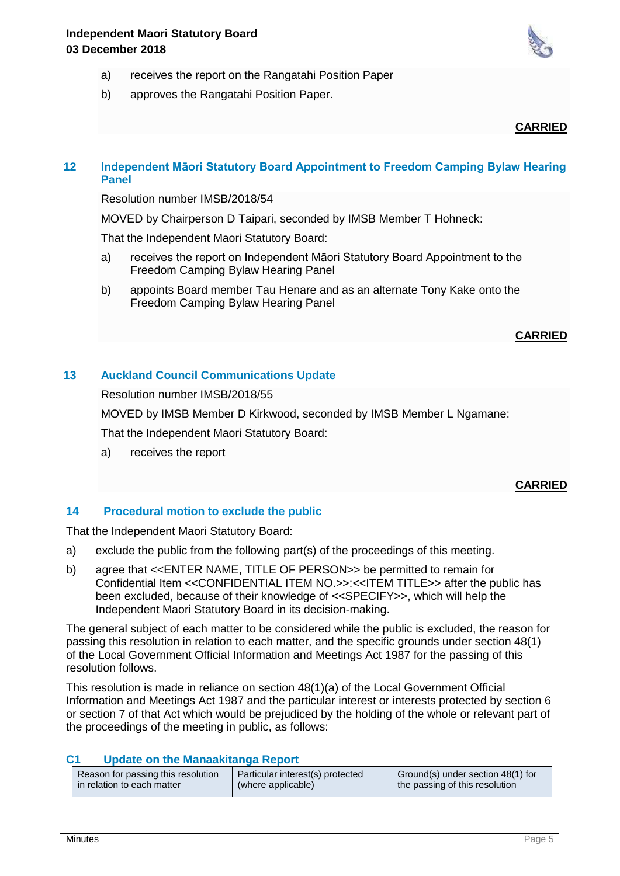

- a) receives the report on the Rangatahi Position Paper
- b) approves the Rangatahi Position Paper.

## **CARRIED**

## **12 Independent Māori Statutory Board Appointment to Freedom Camping Bylaw Hearing Panel**

Resolution number IMSB/2018/54

MOVED by Chairperson D Taipari, seconded by IMSB Member T Hohneck:

That the Independent Maori Statutory Board:

- a) receives the report on Independent Māori Statutory Board Appointment to the Freedom Camping Bylaw Hearing Panel
- b) appoints Board member Tau Henare and as an alternate Tony Kake onto the Freedom Camping Bylaw Hearing Panel

#### **CARRIED**

# **13 Auckland Council Communications Update**

Resolution number IMSB/2018/55

MOVED by IMSB Member D Kirkwood, seconded by IMSB Member L Ngamane:

That the Independent Maori Statutory Board:

a) receives the report

# **CARRIED**

#### **14 Procedural motion to exclude the public**

That the Independent Maori Statutory Board:

- a) exclude the public from the following part(s) of the proceedings of this meeting.
- b) agree that <<ENTER NAME, TITLE OF PERSON>> be permitted to remain for Confidential Item <<CONFIDENTIAL ITEM NO.>>:<<ITEM TITLE>> after the public has been excluded, because of their knowledge of <<SPECIFY>>, which will help the Independent Maori Statutory Board in its decision-making.

The general subject of each matter to be considered while the public is excluded, the reason for passing this resolution in relation to each matter, and the specific grounds under section 48(1) of the Local Government Official Information and Meetings Act 1987 for the passing of this resolution follows.

This resolution is made in reliance on section 48(1)(a) of the Local Government Official Information and Meetings Act 1987 and the particular interest or interests protected by section 6 or section 7 of that Act which would be prejudiced by the holding of the whole or relevant part of the proceedings of the meeting in public, as follows:

#### **C1 Update on the Manaakitanga Report**

| Reason for passing this resolution | Particular interest(s) protected | Ground(s) under section 48(1) for |
|------------------------------------|----------------------------------|-----------------------------------|
| in relation to each matter         | (where applicable)               | the passing of this resolution    |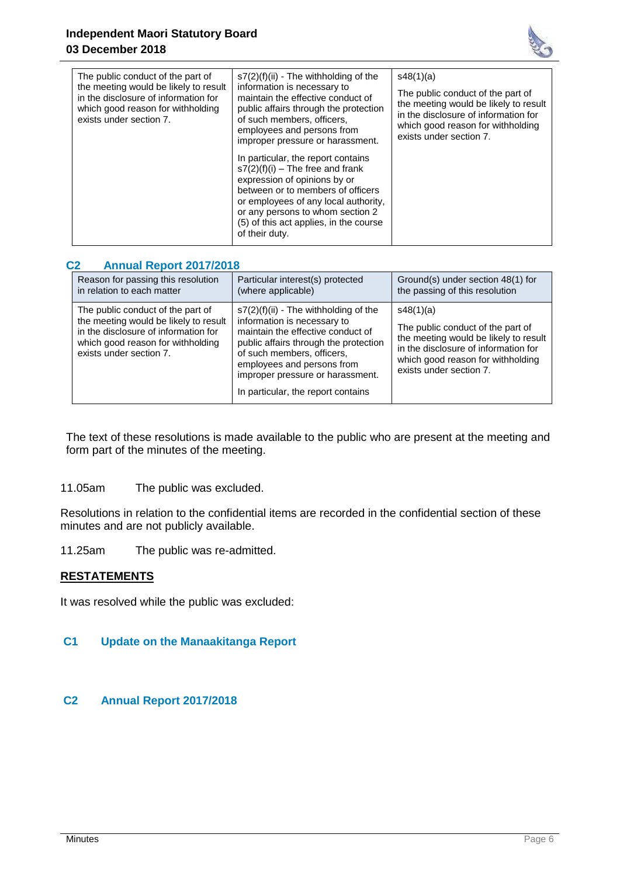

| The public conduct of the part of<br>the meeting would be likely to result<br>in the disclosure of information for<br>which good reason for withholding<br>exists under section 7. | s7(2)(f)(ii) - The withholding of the<br>information is necessary to<br>maintain the effective conduct of<br>public affairs through the protection<br>of such members, officers.<br>employees and persons from<br>improper pressure or harassment.                                    | s48(1)(a)<br>The public conduct of the part of<br>the meeting would be likely to result<br>in the disclosure of information for<br>which good reason for withholding<br>exists under section 7. |
|------------------------------------------------------------------------------------------------------------------------------------------------------------------------------------|---------------------------------------------------------------------------------------------------------------------------------------------------------------------------------------------------------------------------------------------------------------------------------------|-------------------------------------------------------------------------------------------------------------------------------------------------------------------------------------------------|
|                                                                                                                                                                                    | In particular, the report contains<br>$s7(2)(f)(i)$ – The free and frank<br>expression of opinions by or<br>between or to members of officers<br>or employees of any local authority.<br>or any persons to whom section 2<br>(5) of this act applies, in the course<br>of their duty. |                                                                                                                                                                                                 |

## **C2 Annual Report 2017/2018**

| Reason for passing this resolution                                                                                                                                                 | Particular interest(s) protected                                                                                                                                                                                                                                                           | Ground(s) under section 48(1) for                                                                                                                                                               |
|------------------------------------------------------------------------------------------------------------------------------------------------------------------------------------|--------------------------------------------------------------------------------------------------------------------------------------------------------------------------------------------------------------------------------------------------------------------------------------------|-------------------------------------------------------------------------------------------------------------------------------------------------------------------------------------------------|
| in relation to each matter                                                                                                                                                         | (where applicable)                                                                                                                                                                                                                                                                         | the passing of this resolution                                                                                                                                                                  |
| The public conduct of the part of<br>the meeting would be likely to result<br>in the disclosure of information for<br>which good reason for withholding<br>exists under section 7. | $s7(2)(f)(ii)$ - The withholding of the<br>information is necessary to<br>maintain the effective conduct of<br>public affairs through the protection<br>of such members, officers,<br>employees and persons from<br>improper pressure or harassment.<br>In particular, the report contains | s48(1)(a)<br>The public conduct of the part of<br>the meeting would be likely to result<br>in the disclosure of information for<br>which good reason for withholding<br>exists under section 7. |

The text of these resolutions is made available to the public who are present at the meeting and form part of the minutes of the meeting.

11.05am The public was excluded.

Resolutions in relation to the confidential items are recorded in the confidential section of these minutes and are not publicly available.

11.25am The public was re-admitted.

# **RESTATEMENTS**

It was resolved while the public was excluded:

## **C1 Update on the Manaakitanga Report**

# **C2 Annual Report 2017/2018**